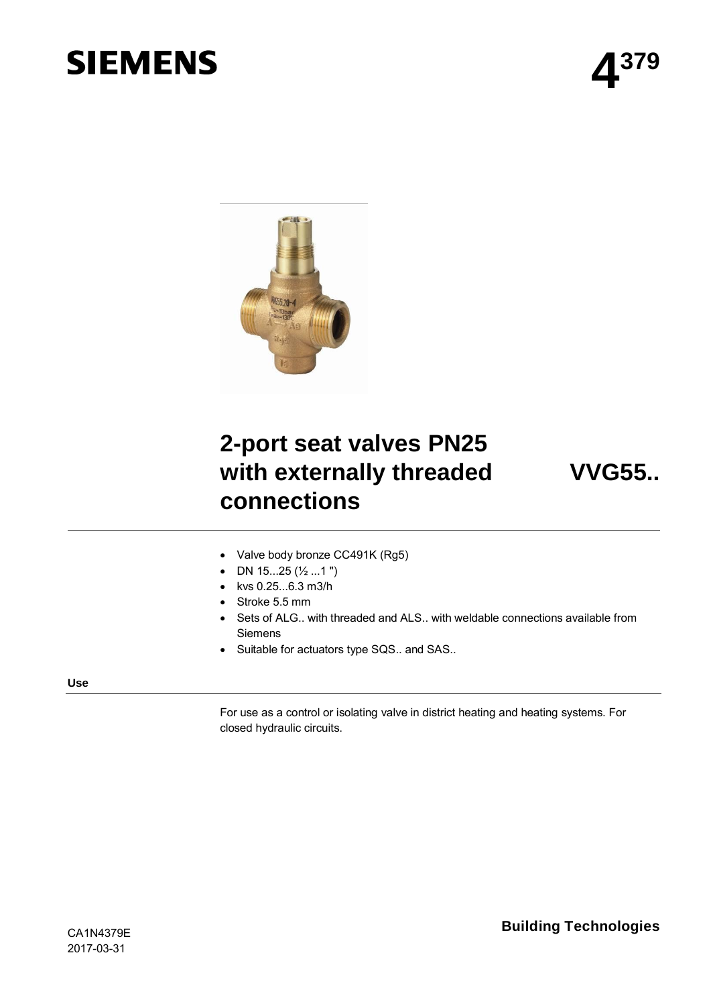# **SIEMENS**



## **2-port seat valves PN25 with externally threaded connections**

**VVG55..**

- ∂ Valve body bronze CC491K (Rg5)
- ∂ DN 15...25 (½ ...1 ")
- ∂ kvs 0.25...6.3 m3/h
- ∂ Stroke 5.5 mm
- Sets of ALG.. with threaded and ALS.. with weldable connections available from Siemens
- ∂ Suitable for actuators type SQS.. and SAS..

#### **Use**

For use as a control or isolating valve in district heating and heating systems. For closed hydraulic circuits.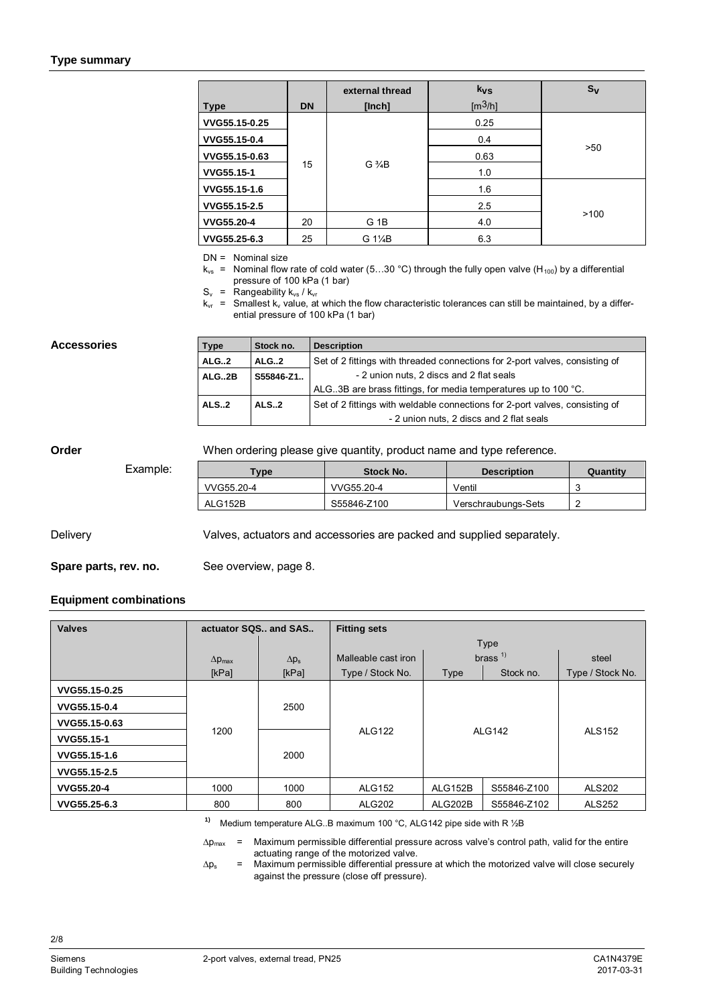#### **Type summary**

| Type          | <b>DN</b> | external thread<br>[Inch] | $k_{VS}$<br>[m <sup>3</sup> /h] | $S_{\rm V}$ |
|---------------|-----------|---------------------------|---------------------------------|-------------|
| VVG55.15-0.25 |           |                           | 0.25                            |             |
| VVG55.15-0.4  |           | $G\frac{3}{4}B$           | 0.4                             |             |
| VVG55.15-0.63 |           |                           | 0.63                            | >50         |
| VVG55.15-1    | 15        |                           | 1.0                             |             |
| VVG55.15-1.6  |           |                           | 1.6                             |             |
| VVG55.15-2.5  |           |                           | 2.5                             |             |
| VVG55.20-4    | 20        | G 1B                      | 4.0                             | >100        |
| VVG55.25-6.3  | 25        | G 1¼B                     | 6.3                             |             |

DN = Nominal size

 $k_{vs}$  = Nominal flow rate of cold water (5...30 °C) through the fully open valve (H<sub>100</sub>) by a differential pressure of 100 kPa (1 bar)

 $S_v$  = Rangeability  $k_{vs}$  /  $k_{vr}$ 

 $k_{vr}$  = Smallest  $k_v$  value, at which the flow characteristic tolerances can still be maintained, by a differential pressure of 100 kPa (1 bar)

#### **Accessories**

| <b>Type</b> | Stock no. | <b>Description</b>                                                           |
|-------------|-----------|------------------------------------------------------------------------------|
| <b>ALG2</b> | ALG2      | Set of 2 fittings with threaded connections for 2-port valves, consisting of |
| ALG2B       | S55846-Z1 | - 2 union nuts, 2 discs and 2 flat seals                                     |
|             |           | ALG. 3B are brass fittings, for media temperatures up to 100 °C.             |
| <b>ALS2</b> | ALS.2     | Set of 2 fittings with weldable connections for 2-port valves, consisting of |
|             |           | - 2 union nuts, 2 discs and 2 flat seals                                     |

#### **Order**

When ordering please give quantity, product name and type reference.

Example:

| $T$ vpe    | Stock No.   | <b>Description</b>  | Quantity |
|------------|-------------|---------------------|----------|
| VVG55.20-4 | VVG55.20-4  | Ventil              |          |
| ALG152B    | S55846-Z100 | Verschraubungs-Sets |          |

Valves, actuators and accessories are packed and supplied separately. **Delivery** 

See overview, page 8. **Spare parts, rev. no.**

#### **Equipment combinations**

| <b>Valves</b> | actuator SQS., and SAS  |              | <b>Fitting sets</b> |               |             |                  |
|---------------|-------------------------|--------------|---------------------|---------------|-------------|------------------|
|               |                         |              |                     |               | Type        |                  |
|               | $\Delta p_{\text{max}}$ | $\Delta p_s$ | Malleable cast iron |               | brass $1$   | steel            |
|               | [kPa]                   | [kPa]        | Type / Stock No.    | Type          | Stock no.   | Type / Stock No. |
| VVG55.15-0.25 |                         |              |                     |               |             |                  |
| VVG55.15-0.4  |                         | 2500         |                     | <b>ALG142</b> |             |                  |
| VVG55.15-0.63 | 1200                    |              | <b>ALG122</b>       |               |             |                  |
| VVG55.15-1    |                         |              |                     |               |             | <b>ALS152</b>    |
| VVG55.15-1.6  |                         | 2000         |                     |               |             |                  |
| VVG55.15-2.5  |                         |              |                     |               |             |                  |
| VVG55.20-4    | 1000                    | 1000         | <b>ALG152</b>       | ALG152B       | S55846-Z100 | <b>ALS202</b>    |
| VVG55.25-6.3  | 800                     | 800          | ALG202              | ALG202B       | S55846-Z102 | <b>ALS252</b>    |

**1)** Medium temperature ALG..B maximum 100 °C, ALG142 pipe side with R ½B

 $\Delta p_{\text{max}}$  = Maximum permissible differential pressure across valve's control path, valid for the entire actuating range of the motorized valve.

 $\Delta p_s$  = Maximum permissible differential pressure at which the motorized valve will close securely against the pressure (close off pressure).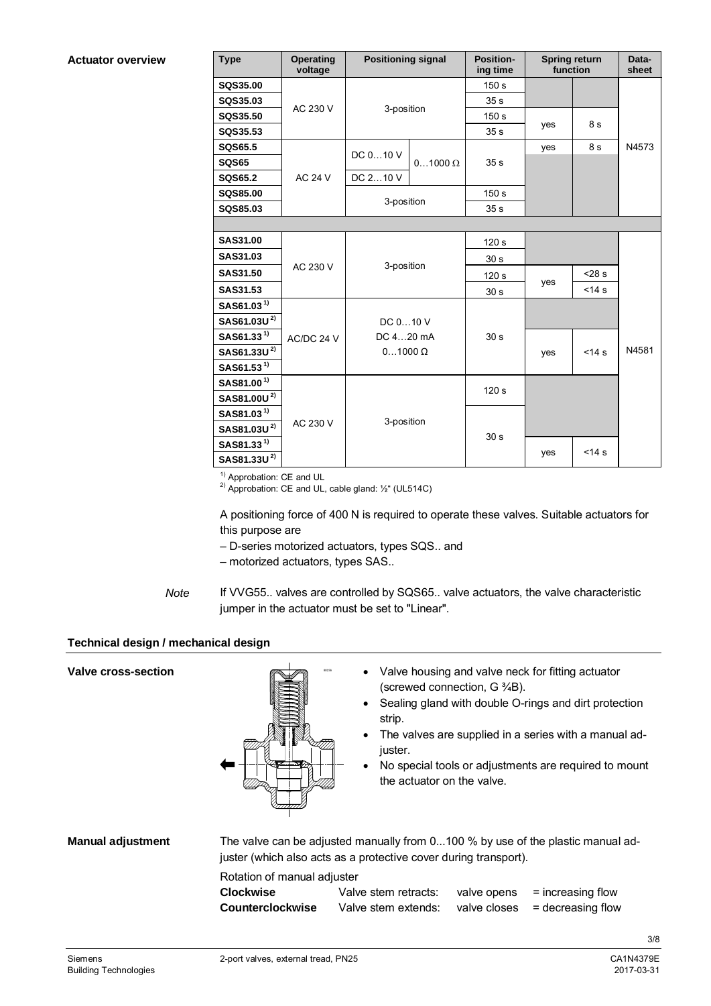**Actuator overview**

| <b>Type</b>             | <b>Operating</b><br>voltage | <b>Positioning signal</b> |                | <b>Position-</b><br>ing time | <b>Spring return</b><br>function |            | Data-<br>sheet |  |  |
|-------------------------|-----------------------------|---------------------------|----------------|------------------------------|----------------------------------|------------|----------------|--|--|
| <b>SQS35.00</b>         |                             |                           |                | 150 s                        |                                  |            |                |  |  |
| SQS35.03                | AC 230 V                    | 3-position                |                | 35 <sub>s</sub>              |                                  |            |                |  |  |
| <b>SQS35.50</b>         |                             |                           |                | 150 <sub>s</sub>             |                                  | 8 s        |                |  |  |
| SQS35.53                |                             |                           |                | 35 <sub>s</sub>              | yes                              |            |                |  |  |
| SQS65.5                 |                             | DC 010 V                  |                |                              | yes                              | 8 s        | N4573          |  |  |
| <b>SQS65</b>            |                             |                           | $01000 \Omega$ |                              |                                  |            |                |  |  |
| <b>SQS65.2</b>          | <b>AC 24 V</b>              | DC 210 V                  |                |                              |                                  |            |                |  |  |
| <b>SQS85.00</b>         |                             |                           |                | 150 <sub>s</sub>             |                                  |            |                |  |  |
| SQS85.03                |                             | 3-position                |                | 35 <sub>s</sub>              |                                  |            |                |  |  |
|                         |                             |                           |                |                              |                                  |            |                |  |  |
| <b>SAS31.00</b>         |                             |                           |                | 120 <sub>s</sub>             |                                  |            |                |  |  |
| <b>SAS31.03</b>         |                             |                           |                | 30 <sub>s</sub>              |                                  |            |                |  |  |
| <b>SAS31.50</b>         | AC 230 V                    | 3-position                |                | 120 <sub>s</sub>             |                                  | $< 28$ s   |                |  |  |
| SAS31.53                |                             |                           |                | 30 <sub>s</sub>              | yes                              | $14s$      |                |  |  |
| SAS61.03 <sup>1)</sup>  |                             |                           |                |                              |                                  |            |                |  |  |
| SAS61.03U <sup>2)</sup> |                             | DC 010 V                  |                |                              |                                  |            |                |  |  |
| SAS61.33 <sup>1)</sup>  | AC/DC 24 V                  | DC 420 mA                 |                | 30 <sub>s</sub>              |                                  |            |                |  |  |
| SAS61.33U <sup>2)</sup> |                             | $01000 \Omega$            |                |                              | yes                              | $<$ 14 $s$ | N4581          |  |  |
| SAS61.53 <sup>1)</sup>  |                             |                           |                |                              |                                  |            |                |  |  |
| SAS81.00 <sup>1)</sup>  |                             |                           |                | 120 <sub>s</sub>             |                                  |            |                |  |  |
| SAS81.00U <sup>2)</sup> |                             |                           |                |                              |                                  |            |                |  |  |
| SAS81.03 <sup>1)</sup>  |                             | 3-position                |                |                              |                                  |            |                |  |  |
| SAS81.03U <sup>2)</sup> | AC 230 V                    |                           |                | 30 <sub>s</sub>              |                                  |            |                |  |  |
| SAS81.33 <sup>1)</sup>  |                             |                           |                |                              |                                  | $14s$      |                |  |  |
| SAS81.33U <sup>2)</sup> |                             |                           |                |                              | yes                              |            |                |  |  |

<sup>1)</sup> Approbation: CE and UL

<sup>2)</sup> Approbation: CE and UL, cable gland:  $\frac{1}{2}$ " (UL514C)

A positioning force of 400 N is required to operate these valves. Suitable actuators for this purpose are

- ‒ D-series motorized actuators, types SQS.. and
- ‒ motorized actuators, types SAS..
- If VVG55.. valves are controlled by SQS65.. valve actuators, the valve characteristic jumper in the actuator must be set to "Linear". *Note*

#### **Technical design / mechanical design**

| <b>Valve cross-section</b> |                                                                     | strip.<br>juster.<br>the actuator on the valve.                  | (screwed connection, G 3/4B). | Valve housing and valve neck for fitting actuator<br>Sealing gland with double O-rings and dirt protection<br>The valves are supplied in a series with a manual ad-<br>No special tools or adjustments are required to mount |
|----------------------------|---------------------------------------------------------------------|------------------------------------------------------------------|-------------------------------|------------------------------------------------------------------------------------------------------------------------------------------------------------------------------------------------------------------------------|
| <b>Manual adjustment</b>   |                                                                     | juster (which also acts as a protective cover during transport). |                               | The valve can be adjusted manually from 0100 % by use of the plastic manual ad-                                                                                                                                              |
|                            | Rotation of manual adjuster<br><b>Clockwise</b><br>Counterclockwise | Valve stem retracts:<br>Valve stem extends:                      | valve opens<br>valve closes   | $=$ increasing flow<br>$=$ decreasing flow                                                                                                                                                                                   |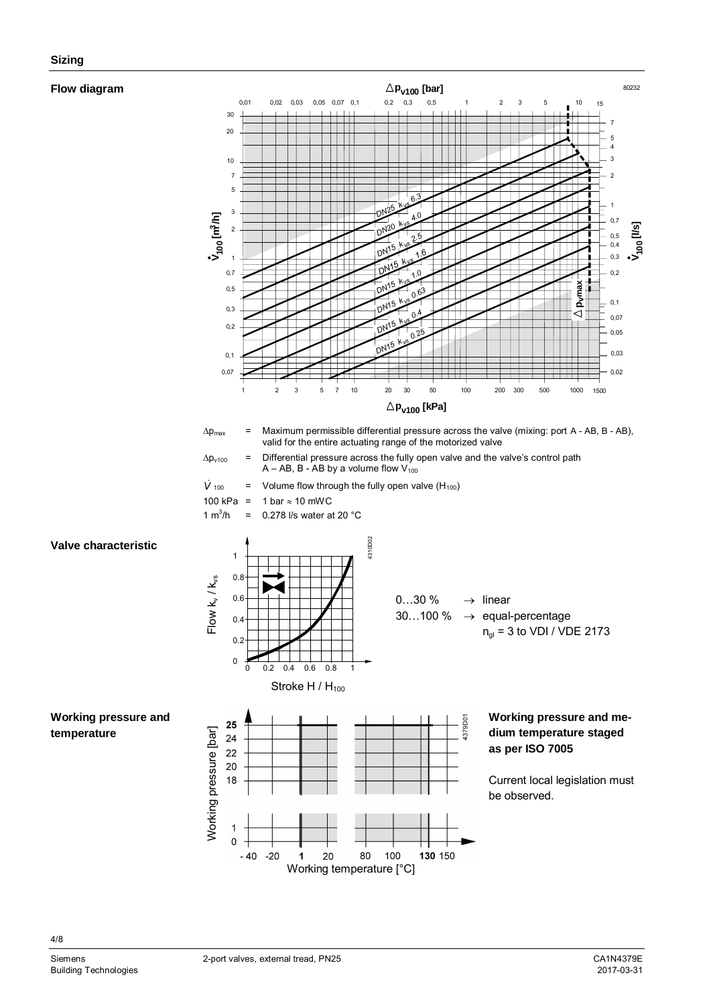#### **Flow diagram**



4/8

80232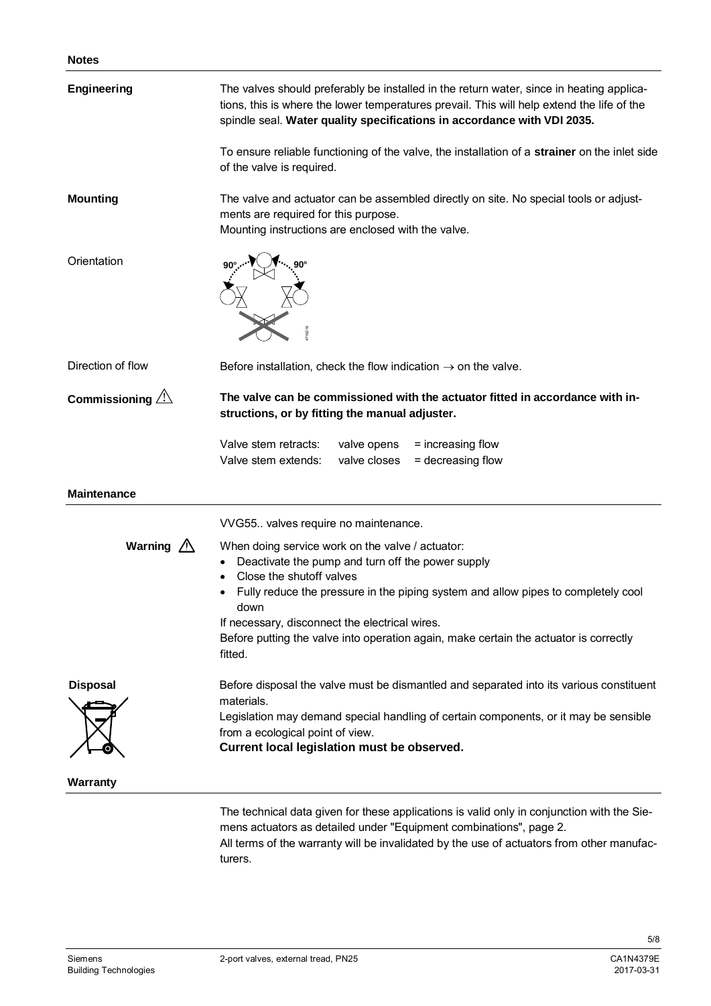| Engineering              | The valves should preferably be installed in the return water, since in heating applica-<br>tions, this is where the lower temperatures prevail. This will help extend the life of the<br>spindle seal. Water quality specifications in accordance with VDI 2035.                                                                                                                                 |
|--------------------------|---------------------------------------------------------------------------------------------------------------------------------------------------------------------------------------------------------------------------------------------------------------------------------------------------------------------------------------------------------------------------------------------------|
|                          | To ensure reliable functioning of the valve, the installation of a strainer on the inlet side<br>of the valve is required.                                                                                                                                                                                                                                                                        |
| <b>Mounting</b>          | The valve and actuator can be assembled directly on site. No special tools or adjust-<br>ments are required for this purpose.<br>Mounting instructions are enclosed with the valve.                                                                                                                                                                                                               |
| Orientation              |                                                                                                                                                                                                                                                                                                                                                                                                   |
| Direction of flow        | Before installation, check the flow indication $\rightarrow$ on the valve.                                                                                                                                                                                                                                                                                                                        |
| Commissioning $\sqrt{2}$ | The valve can be commissioned with the actuator fitted in accordance with in-<br>structions, or by fitting the manual adjuster.                                                                                                                                                                                                                                                                   |
|                          | Valve stem retracts:<br>valve opens<br>= increasing flow<br>Valve stem extends:<br>valve closes<br>= decreasing flow                                                                                                                                                                                                                                                                              |
| <b>Maintenance</b>       |                                                                                                                                                                                                                                                                                                                                                                                                   |
|                          | VVG55 valves require no maintenance.                                                                                                                                                                                                                                                                                                                                                              |
| Warning $\triangle$      | When doing service work on the valve / actuator:<br>Deactivate the pump and turn off the power supply<br>$\bullet$<br>Close the shutoff valves<br>Fully reduce the pressure in the piping system and allow pipes to completely cool<br>down<br>If necessary, disconnect the electrical wires.<br>Before putting the valve into operation again, make certain the actuator is correctly<br>fitted. |
| <b>Disposal</b>          | Before disposal the valve must be dismantled and separated into its various constituent<br>materials.<br>Legislation may demand special handling of certain components, or it may be sensible<br>from a ecological point of view.<br>Current local legislation must be observed.                                                                                                                  |
| <b>Warranty</b>          |                                                                                                                                                                                                                                                                                                                                                                                                   |
|                          | The technical data given for these applications is valid only in conjunction with the Sie-<br>mens actuators as detailed under "Equipment combinations", page 2.                                                                                                                                                                                                                                  |

All terms of the warranty will be invalidated by the use of actuators from other manufacturers.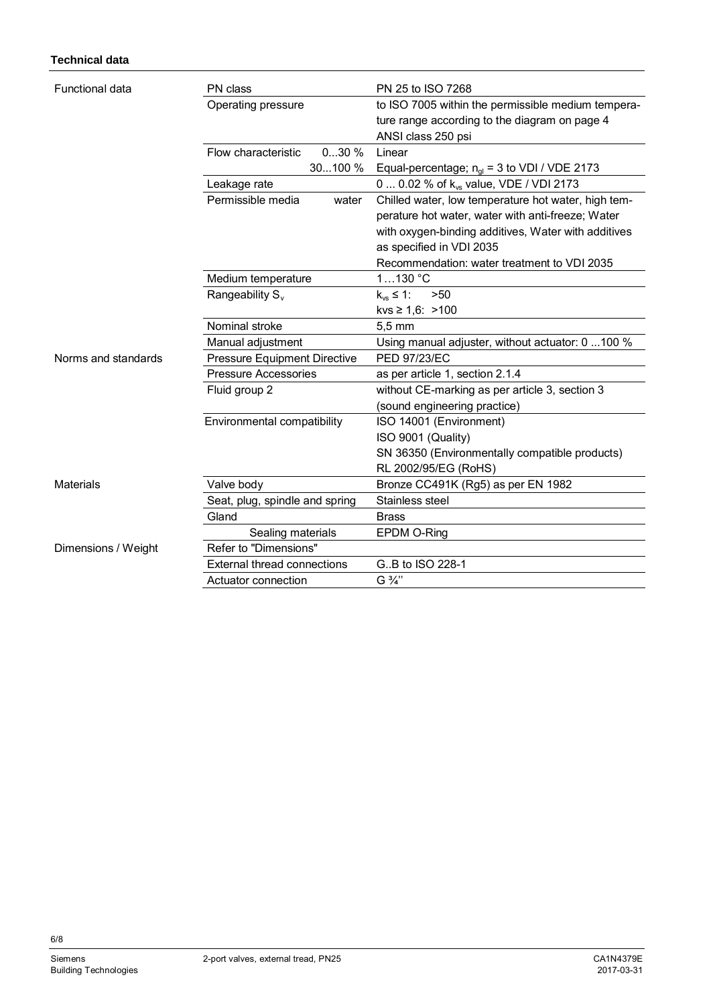### **Technical data**

| Functional data     | PN class                            | PN 25 to ISO 7268                                   |
|---------------------|-------------------------------------|-----------------------------------------------------|
|                     | Operating pressure                  | to ISO 7005 within the permissible medium tempera-  |
|                     |                                     | ture range according to the diagram on page 4       |
|                     |                                     | ANSI class 250 psi                                  |
|                     | 030%<br>Flow characteristic         | Linear                                              |
|                     | 30100 %                             | Equal-percentage; $n_{gl}$ = 3 to VDI / VDE 2173    |
|                     | Leakage rate                        | 0  0.02 % of k <sub>vs</sub> value, VDE / VDI 2173  |
|                     | Permissible media<br>water          | Chilled water, low temperature hot water, high tem- |
|                     |                                     | perature hot water, water with anti-freeze; Water   |
|                     |                                     | with oxygen-binding additives, Water with additives |
|                     |                                     | as specified in VDI 2035                            |
|                     |                                     | Recommendation: water treatment to VDI 2035         |
|                     | Medium temperature                  | 1130 °C                                             |
|                     | Rangeability S <sub>v</sub>         | $k_{vs} \leq 1$ :<br>>50                            |
|                     |                                     | kvs $\geq 1,6$ : >100                               |
|                     | Nominal stroke                      | $5,5 \, \text{mm}$                                  |
|                     | Manual adjustment                   | Using manual adjuster, without actuator: 0 100 %    |
| Norms and standards | <b>Pressure Equipment Directive</b> | <b>PED 97/23/EC</b>                                 |
|                     | <b>Pressure Accessories</b>         | as per article 1, section 2.1.4                     |
|                     | Fluid group 2                       | without CE-marking as per article 3, section 3      |
|                     |                                     | (sound engineering practice)                        |
|                     | Environmental compatibility         | ISO 14001 (Environment)                             |
|                     |                                     | ISO 9001 (Quality)                                  |
|                     |                                     | SN 36350 (Environmentally compatible products)      |
|                     |                                     | RL 2002/95/EG (RoHS)                                |
| Materials           | Valve body                          | Bronze CC491K (Rg5) as per EN 1982                  |
|                     | Seat, plug, spindle and spring      | Stainless steel                                     |
|                     | Gland                               | <b>Brass</b>                                        |
|                     | Sealing materials                   | EPDM O-Ring                                         |
| Dimensions / Weight | Refer to "Dimensions"               |                                                     |
|                     | <b>External thread connections</b>  | GB to ISO 228-1                                     |
|                     | Actuator connection                 | G 3/4"                                              |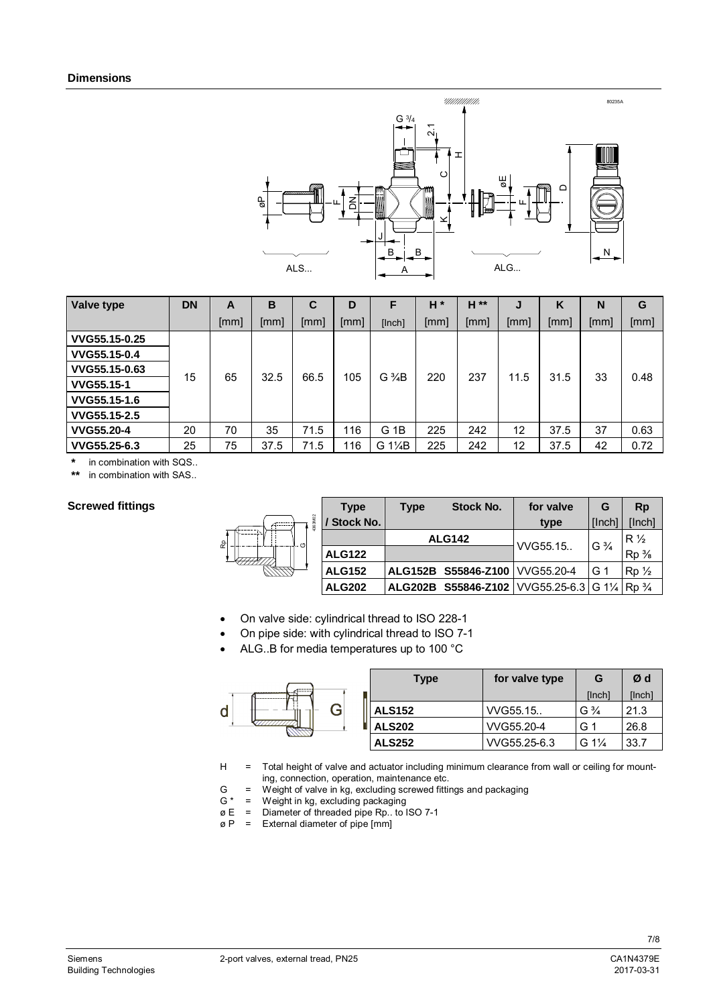

| <b>Valve type</b> | <b>DN</b> | A    | в    | C            | D    | F               | $H^*$ | H ** | J    | K    | N    | G    |
|-------------------|-----------|------|------|--------------|------|-----------------|-------|------|------|------|------|------|
|                   |           | [mm] | [mm] | [mm]         | [mm] | [Inch]          | [mm]  | [mm] | [mm] | [mm] | [mm] | [mm] |
| VVG55.15-0.25     |           |      |      |              |      |                 |       |      |      |      |      |      |
| VVG55.15-0.4      |           |      |      |              |      |                 |       |      |      |      |      |      |
| VVG55.15-0.63     |           | 65   |      | 32.5<br>66.5 | 105  | $G\frac{3}{4}B$ | 220   | 237  | 11.5 | 31.5 | 33   | 0.48 |
| VVG55.15-1        | 15        |      |      |              |      |                 |       |      |      |      |      |      |
| VVG55.15-1.6      |           |      |      |              |      |                 |       |      |      |      |      |      |
| VVG55.15-2.5      |           |      |      |              |      |                 |       |      |      |      |      |      |
| <b>VVG55.20-4</b> | 20        | 70   | 35   | 71.5         | 116  | G 1B            | 225   | 242  | 12   | 37.5 | 37   | 0.63 |
| VVG55.25-6.3      | 25        | 75   | 37.5 | 71.5         | 116  | G 1\%B          | 225   | 242  | 12   | 37.5 | 42   | 0.72 |

**\*** in combination with SQS..

in combination with SAS..

#### **Screwed fittings**

|                              | <b>Type</b>      | <b>Type</b> | <b>Stock No.</b>                 | for valve                                                                                            | G              | <b>Rp</b>      |
|------------------------------|------------------|-------------|----------------------------------|------------------------------------------------------------------------------------------------------|----------------|----------------|
| $\approx$<br>136<br>윤<br>- 0 | <b>Stock No.</b> |             |                                  | type                                                                                                 | <b>Ilnchl</b>  | [Inch]         |
|                              |                  |             | <b>ALG142</b>                    |                                                                                                      | $G\frac{3}{4}$ | $R\frac{1}{2}$ |
|                              | <b>ALG122</b>    |             |                                  | VVG55.15.                                                                                            |                | $Rp_{8}$       |
|                              | <b>ALG152</b>    |             | ALG152B S55846-Z100   VVG55.20-4 |                                                                                                      | G 1            | $Rp_{2}$       |
|                              | <b>ALG202</b>    | ALG202B     |                                  | <b>S55846-Z102</b>   VVG55.25-6.3   G 1 <sup>1</sup> / <sub>4</sub>   Rp <sup>3</sup> / <sub>4</sub> |                |                |

- ∂ On valve side: cylindrical thread to ISO 228-1
- ∂ On pipe side: with cylindrical thread to ISO 7-1
- ∂ ALG..B for media temperatures up to 100 °C

|         | <b>Type</b>   | for valve type | G                | Ød     |
|---------|---------------|----------------|------------------|--------|
| ------- |               |                | [Inch]           | [Inch] |
| G       | <b>ALS152</b> | VVG55.15.      | $G\frac{3}{4}$   | 21.3   |
|         | <b>ALS202</b> | VVG55.20-4     | G <sub>1</sub>   | 26.8   |
|         | <b>ALS252</b> | VVG55.25-6.3   | G $1\frac{1}{4}$ | 33.7   |

- H = Total height of valve and actuator including minimum clearance from wall or ceiling for mounting, connection, operation, maintenance etc.
- G = Weight of valve in kg, excluding screwed fittings and packaging
- $G^*$  = Weight in kg, excluding packaging
- ø E = Diameter of threaded pipe Rp.. to ISO 7-1
- $\varnothing$  P = External diameter of pipe [mm]

 $\mathsf{d}$